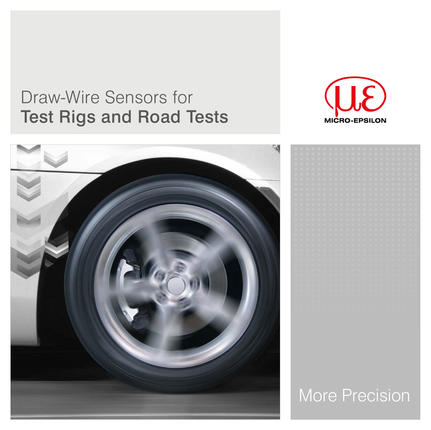# Draw-Wire Sensors for Test Rigs and Road Tests







# More Precision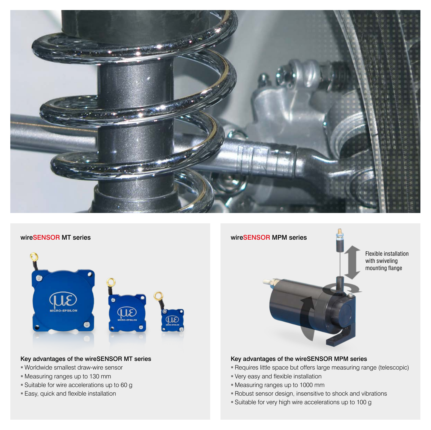



#### Key advantages of the wireSENSOR MT series

- Worldwide smallest draw-wire sensor
- Measuring ranges up to 130 mm
- Suitable for wire accelerations up to 60 g
- Easy, quick and flexible installation



### Key advantages of the wireSENSOR MPM series

- Requires little space but offers large measuring range (telescopic)
- Very easy and flexible installation
- Measuring ranges up to 1000 mm
- Robust sensor design, insensitive to shock and vibrations
- Suitable for very high wire accelerations up to 100 g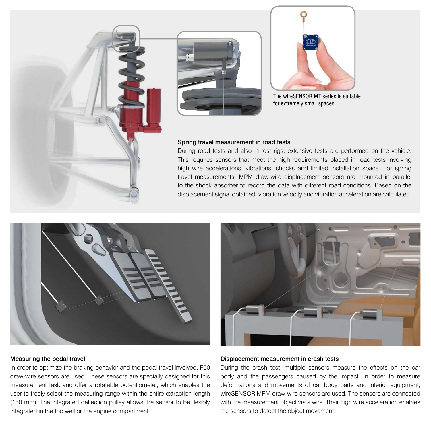





The wireSENSOR MT series is suitable for extremely small spaces.

#### Spring travel measurement in road tests

During road tests and also in test rigs, extensive tests are performed on the vehicle. This requires sensors that meet the high requirements placed in road tests involving high wire accelerations, vibrations, shocks and limited installation space. For spring travel measurements, MPM draw-wire displacement sensors are mounted in parallel to the shock absorber to record the data with different road conditions. Based on the displacement signal obtained, vibration velocity and vibration acceleration are calculated.



#### Measuring the pedal travel

In order to optimize the braking behavior and the pedal travel involved, F50 draw-wire sensors are used. These sensors are specially designed for this measurement task and offer a rotatable potentiometer, which enables the user to freely select the measuring range within the entire extraction length (150 mm). The integrated deflection pulley allows the sensor to be flexibly integrated in the footwell or the engine compartment.



#### Displacement measurement in crash tests

During the crash test, multiple sensors measure the effects on the car body and the passengers caused by the impact. In order to measure deformations and movements of car body parts and interior equipment, wireSENSOR MPM draw-wire sensors are used. The sensors are connected with the measurement object via a wire. Their high wire acceleration enables the sensors to detect the object movement.